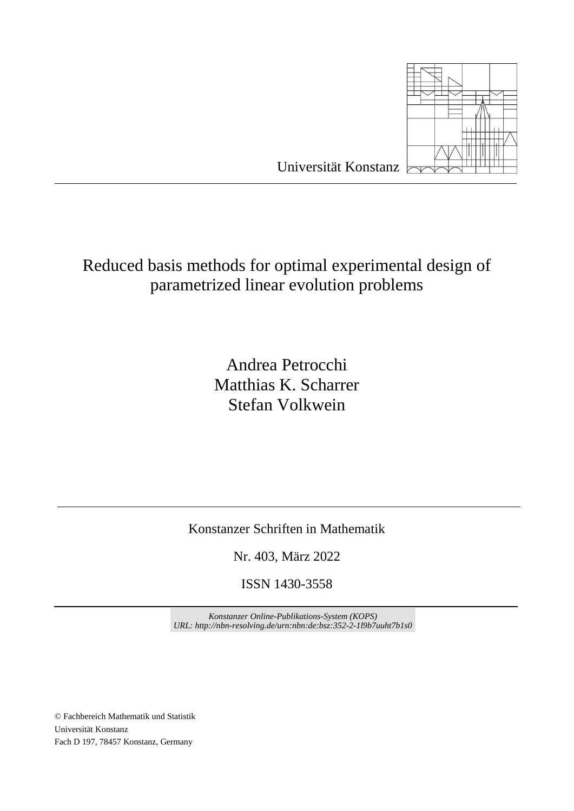

Reduced basis methods for optimal experimental design of parametrized linear evolution problems

> Andrea Petrocchi Matthias K. Scharrer Stefan Volkwein

Konstanzer Schriften in Mathematik

Nr. 403, März 2022

ISSN 1430-3558

*Konstanzer Online-Publikations-System (KOPS) URL: http://nbn-resolving.de/urn:nbn:de:bsz:352-2-1l9b7uuht7b1s0*

© Fachbereich Mathematik und Statistik Universität Konstanz Fach D 197, 78457 Konstanz, Germany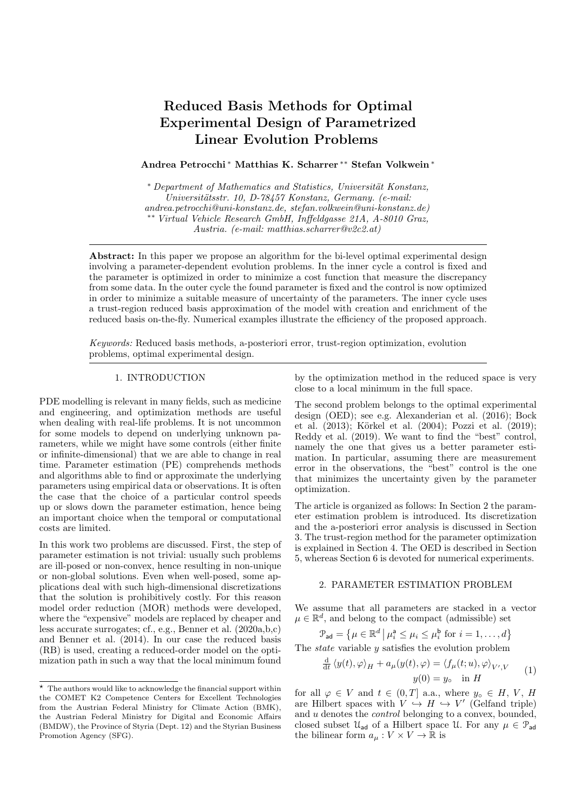# Reduced Basis Methods for Optimal Experimental Design of Parametrized Linear Evolution Problems

# Andrea Petrocchi <sup>∗</sup> Matthias K. Scharrer ∗∗ Stefan Volkwein <sup>∗</sup>

\* Department of Mathematics and Statistics, Universität Konstanz, Universitätsstr. 10, D-78457 Konstanz, Germany. (e-mail: andrea.petrocchi@uni-konstanz.de, stefan.volkwein@uni-konstanz.de) ∗∗ Virtual Vehicle Research GmbH, Inffeldgasse 21A, A-8010 Graz, Austria. (e-mail: matthias.scharrer@v2c2.at)

Abstract: In this paper we propose an algorithm for the bi-level optimal experimental design involving a parameter-dependent evolution problems. In the inner cycle a control is fixed and the parameter is optimized in order to minimize a cost function that measure the discrepancy from some data. In the outer cycle the found parameter is fixed and the control is now optimized in order to minimize a suitable measure of uncertainty of the parameters. The inner cycle uses a trust-region reduced basis approximation of the model with creation and enrichment of the reduced basis on-the-fly. Numerical examples illustrate the efficiency of the proposed approach.

Keywords: Reduced basis methods, a-posteriori error, trust-region optimization, evolution problems, optimal experimental design.

## 1. INTRODUCTION

PDE modelling is relevant in many fields, such as medicine and engineering, and optimization methods are useful when dealing with real-life problems. It is not uncommon for some models to depend on underlying unknown parameters, while we might have some controls (either finite or infinite-dimensional) that we are able to change in real time. Parameter estimation (PE) comprehends methods and algorithms able to find or approximate the underlying parameters using empirical data or observations. It is often the case that the choice of a particular control speeds up or slows down the parameter estimation, hence being an important choice when the temporal or computational costs are limited.

In this work two problems are discussed. First, the step of parameter estimation is not trivial: usually such problems are ill-posed or non-convex, hence resulting in non-unique or non-global solutions. Even when well-posed, some applications deal with such high-dimensional discretizations that the solution is prohibitively costly. For this reason model order reduction (MOR) methods were developed, where the "expensive" models are replaced by cheaper and less accurate surrogates; cf., e.g., Benner et al. (2020a,b,c) and Benner et al. (2014). In our case the reduced basis (RB) is used, creating a reduced-order model on the optimization path in such a way that the local minimum found

by the optimization method in the reduced space is very close to a local minimum in the full space.

The second problem belongs to the optimal experimental design (OED); see e.g. Alexanderian et al. (2016); Bock et al. (2013); Körkel et al. (2004); Pozzi et al. (2019); Reddy et al. (2019). We want to find the "best" control, namely the one that gives us a better parameter estimation. In particular, assuming there are measurement error in the observations, the "best" control is the one that minimizes the uncertainty given by the parameter optimization.

The article is organized as follows: In Section 2 the parameter estimation problem is introduced. Its discretization and the a-posteriori error analysis is discussed in Section 3. The trust-region method for the parameter optimization is explained in Section 4. The OED is described in Section 5, whereas Section 6 is devoted for numerical experiments.

## 2. PARAMETER ESTIMATION PROBLEM

We assume that all parameters are stacked in a vector  $\mu \in \mathbb{R}^d$ , and belong to the compact (admissible) set

$$
\mathcal{P}_{\mathsf{ad}} = \left\{ \mu \in \mathbb{R}^d \, \middle| \, \mu_i^{\mathsf{a}} \le \mu_i \le \mu_i^{\mathsf{b}} \text{ for } i = 1, \dots, d \right\}
$$

The state variable y satisfies the evolution problem

$$
\frac{\mathrm{d}}{\mathrm{d}t} \langle y(t), \varphi \rangle_H + a_\mu(y(t), \varphi) = \langle f_\mu(t; u), \varphi \rangle_{V', V} \qquad (1)
$$
  

$$
y(0) = y_\circ \quad \text{in } H
$$

for all  $\varphi \in V$  and  $t \in (0,T]$  a.a., where  $y_0 \in H, V, H$ are Hilbert spaces with  $V \nightharpoonup H \hookrightarrow V'$  (Gelfand triple) and u denotes the control belonging to a convex, bounded, closed subset  $\mathcal{U}_{ad}$  of a Hilbert space U. For any  $\mu \in \mathcal{P}_{ad}$ the bilinear form  $a_{\mu}: V \times V \to \mathbb{R}$  is

 $^\star\,$  The authors would like to acknowledge the financial support within the COMET K2 Competence Centers for Excellent Technologies from the Austrian Federal Ministry for Climate Action (BMK), the Austrian Federal Ministry for Digital and Economic Affairs (BMDW), the Province of Styria (Dept. 12) and the Styrian Business Promotion Agency (SFG).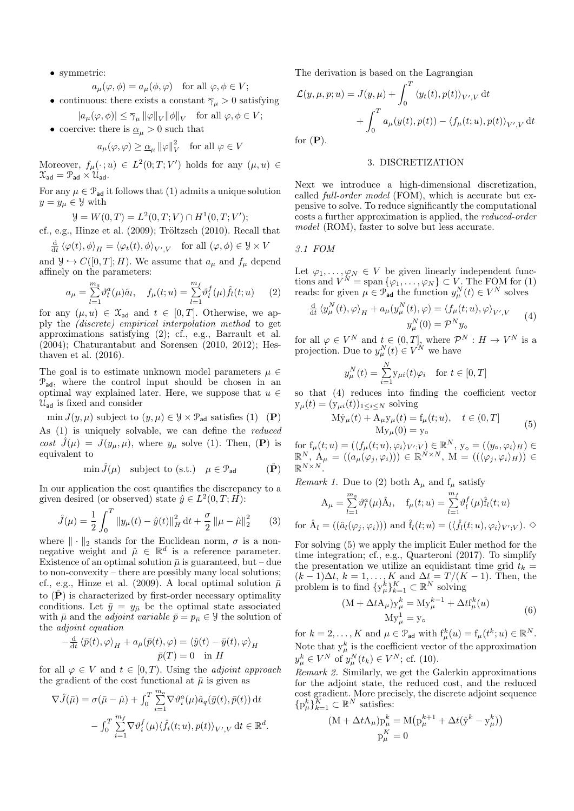• symmetric:

$$
a_{\mu}(\varphi, \phi) = a_{\mu}(\phi, \varphi)
$$
 for all  $\varphi, \phi \in V$ ;

- continuous: there exists a constant  $\overline{\gamma}_{\mu} > 0$  satisfying  $|a_{\mu}(\varphi, \phi)| \leq \overline{\gamma}_{\mu} \|\varphi\|_{V} \|\phi\|_{V} \quad \text{for all } \varphi, \phi \in V;$
- coercive: there is  $\underline{\alpha}_u > 0$  such that

$$
a_{\mu}(\varphi, \varphi) \geq \underline{\alpha}_{\mu} ||\varphi||^2_V \text{ for all } \varphi \in V
$$

Moreover,  $f_{\mu}(\cdot; u) \in L^2(0; T; V')$  holds for any  $(\mu, u) \in$  $\mathcal{X}_{ad} = \mathcal{P}_{ad} \times \mathcal{U}_{ad}.$ 

For any  $\mu \in \mathcal{P}_{ad}$  it follows that (1) admits a unique solution  $y=y_{\mu}\in\mathcal{Y}$  with

$$
\mathcal{Y} = W(0, T) = L^2(0, T; V) \cap H^1(0, T; V');
$$

cf., e.g., Hinze et al.  $(2009)$ ; Tröltzsch  $(2010)$ . Recall that

$$
\frac{\mathrm{d}}{\mathrm{d}t} \left\langle \varphi(t), \phi \right\rangle_H = \left\langle \varphi_t(t), \phi \right\rangle_{V', V} \quad \text{for all } (\varphi, \phi) \in \mathcal{Y} \times V
$$

and  $\mathcal{Y} \hookrightarrow C([0, T]; H)$ . We assume that  $a_{\mu}$  and  $f_{\mu}$  depend affinely on the parameters:

$$
a_{\mu} = \sum_{l=1}^{m_a} \vartheta_l^a(\mu) \hat{a}_l, \quad f_{\mu}(t; u) = \sum_{l=1}^{m_f} \vartheta_l^f(\mu) \hat{f}_l(t; u) \tag{2}
$$

for any  $(\mu, u) \in \mathfrak{X}_{ad}$  and  $t \in [0, T]$ . Otherwise, we apply the (discrete) empirical interpolation method to get approximations satisfying (2); cf., e.g., Barrault et al. (2004); Chaturantabut and Sorensen (2010, 2012); Hesthaven et al. (2016).

The goal is to estimate unknown model parameters  $\mu \in$  $P_{ad}$ , where the control input should be chosen in an optimal way explained later. Here, we suppose that  $u \in$  $\mathcal{U}_{ad}$  is fixed and consider

min  $J(y, \mu)$  subject to  $(y, \mu) \in \mathcal{Y} \times \mathcal{P}_{ad}$  satisfies (1) (P) As (1) is uniquely solvable, we can define the reduced cost  $J(\mu) = J(y_\mu, \mu)$ , where  $y_\mu$  solve (1). Then, (P) is equivalent to

$$
\min \hat{J}(\mu) \quad \text{subject to (s.t.)} \quad \mu \in \mathcal{P}_{\text{ad}} \tag{P}
$$

In our application the cost quantifies the discrepancy to a given desired (or observed) state  $\hat{y} \in L^2(0,T;H)$ :

$$
\hat{J}(\mu) = \frac{1}{2} \int_0^T \|y_\mu(t) - \hat{y}(t)\|_H^2 dt + \frac{\sigma}{2} \|\mu - \hat{\mu}\|_2^2 \qquad (3)
$$

where  $\|\cdot\|_2$  stands for the Euclidean norm,  $\sigma$  is a nonnegative weight and  $\hat{\mu} \in \mathbb{R}^d$  is a reference parameter. Existence of an optimal solution  $\bar{\mu}$  is guaranteed, but – due to non-convexity – there are possibly many local solutions; cf., e.g., Hinze et al. (2009). A local optimal solution  $\bar{\mu}$ to  $(\hat{\mathbf{P}})$  is characterized by first-order necessary optimality conditions. Let  $\bar{y} = y_{\bar{\mu}}$  be the optimal state associated with  $\bar{\mu}$  and the *adjoint variable*  $\bar{p} = p_{\bar{\mu}} \in \mathcal{Y}$  the solution of the adjoint equation

$$
-\frac{\mathrm{d}}{\mathrm{d}t} \langle \bar{p}(t), \varphi \rangle_H + a_{\bar{\mu}}(\bar{p}(t), \varphi) = \langle \hat{y}(t) - \bar{y}(t), \varphi \rangle_H
$$
  

$$
\bar{p}(T) = 0 \quad \text{in } H
$$

for all  $\varphi \in V$  and  $t \in [0, T)$ . Using the *adjoint approach* the gradient of the cost functional at  $\bar{\mu}$  is given as

$$
\nabla \hat{J}(\bar{\mu}) = \sigma(\bar{\mu} - \hat{\mu}) + \int_0^T \sum_{i=1}^{m_a} \nabla \vartheta_i^a(\mu) \hat{a}_q(\bar{y}(t), \bar{p}(t)) dt - \int_0^T \sum_{i=1}^{m_f} \nabla \vartheta_i^f(\mu) \langle \hat{f}_i(t; u), p(t) \rangle_{V',V} dt \in \mathbb{R}^d.
$$

The derivation is based on the Lagrangian

$$
\mathcal{L}(y,\mu,p;u) = J(y,\mu) + \int_0^T \langle y_t(t), p(t) \rangle_{V',V} dt + \int_0^T a_\mu(y(t), p(t)) - \langle f_\mu(t;u), p(t) \rangle_{V',V} dt
$$
for **(P)**

for  $(P)$ .

# 3. DISCRETIZATION

Next we introduce a high-dimensional discretization, called full-order model (FOM), which is accurate but expensive to solve. To reduce significantly the computational costs a further approximation is applied, the reduced-order model (ROM), faster to solve but less accurate.

3.1 FOM

for

Let  $\varphi_1, \ldots, \varphi_N \in V$  be given linearly independent functions and  $V^N = \text{span} \{ \varphi_1, \ldots, \varphi_N \} \subset V$ . The FOM for (1) reads: for given  $\mu \in \mathcal{P}_{ad}$  the function  $y_{\mu}^{N}(t) \in V^{N}$  solves

$$
\frac{\mathrm{d}}{\mathrm{d}t} \left\langle y_{\mu}^{N}(t), \varphi \right\rangle_{H} + a_{\mu} (y_{\mu}^{N}(t), \varphi) = \left\langle f_{\mu}(t; u), \varphi \right\rangle_{V', V} \qquad (4)
$$
\n
$$
y_{\mu}^{N}(0) = \mathcal{P}^{N} y_{\circ}
$$

for all  $\varphi \in V^N$  and  $t \in (0,T]$ , where  $\mathcal{P}^N : H \to V^N$  is a projection. Due to  $y_{\mu}^{N}(t) \in V^{N}$  we have

$$
y_{\mu}^{N}(t) = \sum_{i=1}^{N} y_{\mu i}(t)\varphi_{i} \quad \text{for } t \in [0, T]
$$

so that (4) reduces into finding the coefficient vector  $y_\mu(t) = (y_{\mu i}(t))_{1 \leq i \leq N}$  solving

$$
M\dot{y}_{\mu}(t) + A_{\mu}y_{\mu}(t) = f_{\mu}(t; u), \quad t \in (0, T]
$$
  

$$
My_{\mu}(0) = y_{\circ}
$$
 (5)

for  $f_{\mu}(t; u) = (\langle f_{\mu}(t; u), \varphi_i \rangle_{V'; V}) \in \mathbb{R}^N$ ,  $y_{\circ} = (\langle y_{\circ}, \varphi_i \rangle_H) \in$  $\mathbb{R}^N, A_\mu = ((a_\mu(\varphi_j, \varphi_i))) \in \mathbb{R}^{N \times N}, M = (((\varphi_j, \varphi_i)_H)) \in$  $\mathbb{R}^{N\times N}$ .

*Remark 1.* Due to (2) both  $A_\mu$  and  $f_\mu$  satisfy

$$
A_{\mu} = \sum_{l=1}^{m_a} \vartheta_l^a(\mu) \hat{A}_l, \quad f_{\mu}(t; u) = \sum_{l=1}^{m_f} \vartheta_l^f(\mu) \hat{f}_l(t; u)
$$
  

$$
\hat{A}_l = ((\hat{a}_l(\varphi_j, \varphi_i))) \text{ and } \hat{f}_l(t; u) = (\langle \hat{f}_l(t; u), \varphi_i \rangle_{V'; V}). \diamondsuit
$$

For solving (5) we apply the implicit Euler method for the time integration; cf., e.g., Quarteroni (2017). To simplify the presentation we utilize an equidistant time grid  $t_k =$  $(k-1)\Delta t$ ,  $k = 1, \ldots, K$  and  $\Delta t = T/(K-1)$ . Then, the problem is to find  $\{y^k_\mu\}_{k=1}^K \subset \mathbb{R}^N$  solving

$$
(M + \Delta t A_{\mu})y_{\mu}^{k} = My_{\mu}^{k-1} + \Delta t f_{\mu}^{k}(u)
$$
  

$$
My_{\mu}^{1} = y_{o}
$$
 (6)

for  $k = 2, ..., K$  and  $\mu \in \mathcal{P}_{ad}$  with  $f^k_\mu(u) = f_\mu(t^k; u) \in \mathbb{R}^N$ . Note that  $y^k_\mu$  is the coefficient vector of the approximation  $y_{\mu}^{k} \in V^{N}$  of  $y_{\mu}^{N}(t_{k}) \in V^{N}$ ; cf. (10).

Remark 2. Similarly, we get the Galerkin approximations for the adjoint state, the reduced cost, and the reduced cost gradient. More precisely, the discrete adjoint sequence  $\{p_{\mu}^{k}\}_{k=1}^{K} \subset \mathbb{R}^{N}$  satisfies:

$$
(M + \Delta t A_{\mu})p_{\mu}^{k} = M(p_{\mu}^{k+1} + \Delta t(\hat{y}^{k} - y_{\mu}^{k}))
$$
  

$$
p_{\mu}^{K} = 0
$$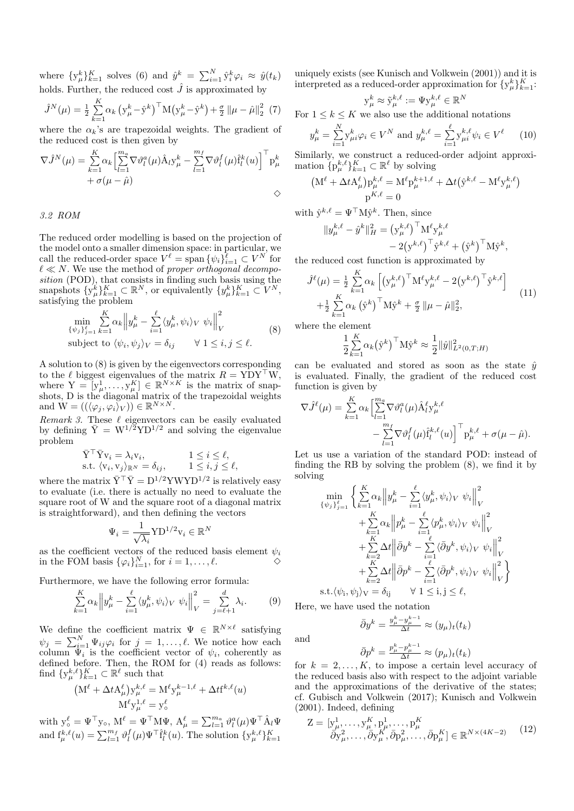where  $\{y_{\mu}^{k}\}_{k=1}^{K}$  solves (6) and  $\hat{y}^{k} = \sum_{i=1}^{N} \hat{y}_{i}^{k} \varphi_{i} \approx \hat{y}(t_{k})$ holds. Further, the reduced cost  $\hat{J}$  is approximated by

$$
\hat{J}^{N}(\mu) = \frac{1}{2} \sum_{k=1}^{K} \alpha_{k} \left( y_{\mu}^{k} - \hat{y}^{k} \right)^{\top} M \left( y_{\mu}^{k} - \hat{y}^{k} \right) + \frac{\sigma}{2} \left\| \mu - \hat{\mu} \right\|_{2}^{2} (7)
$$

where the  $\alpha_k$ 's are trapezoidal weights. The gradient of the reduced cost is then given by

$$
\nabla \hat{J}^{N}(\mu) = \sum_{k=1}^{K} \alpha_{k} \left[ \sum_{l=1}^{m_{a}} \nabla \vartheta_{l}^{a}(\mu) \hat{A}_{l} y_{\mu}^{k} - \sum_{l=1}^{m_{f}} \nabla \vartheta_{l}^{f}(\mu) \hat{f}_{l}^{k}(u) \right]^{\top} p_{\mu}^{k} + \sigma(\mu - \hat{\mu})
$$
  
 
$$
\diamond
$$

3.2 ROM

The reduced order modelling is based on the projection of the model onto a smaller dimension space: in particular, we call the reduced-order space  $V^{\ell} = \text{span} \{ \psi_i \}_{i=1}^{\ell} \subset V^N$  for  $\ell \ll N$ . We use the method of proper orthogonal decomposition (POD), that consists in finding such basis using the snapshots  $\{y^k_\mu\}_{k=1}^K \subset \mathbb{R}^N$ , or equivalently  $\{y^k_\mu\}_{k=1}^K \subset V^N$ , satisfying the problem

$$
\min_{\{\psi_j\}_{j=1}^{\ell}} \sum_{k=1}^{K} \alpha_k \left\| y_{\mu}^k - \sum_{i=1}^{\ell} \langle y_{\mu}^k, \psi_i \rangle_V \right\|_V^2
$$
\nsubject to  $\langle \psi_i, \psi_j \rangle_V = \delta_{ij} \quad \forall 1 \le i, j \le \ell.$  (8)

A solution to (8) is given by the eigenvectors corresponding to the  $\ell$  biggest eigenvalues of the matrix  $R = YDY^{\top}W$ , where  $Y = [y_{\mu}^1, \ldots, y_{\mu}^K] \in \mathbb{R}^{N \times K}$  is the matrix of snapshots, D is the diagonal matrix of the trapezoidal weights and  $\mathbf{W} = ((\langle \varphi_j, \varphi_i \rangle_V)) \in \mathbb{R}^{N \times N}$ .

Remark 3. These  $\ell$  eigenvectors can be easily evaluated by defining  $\bar{Y} = W^{1/2} Y D^{1/2}$  and solving the eigenvalue problem

$$
\begin{aligned}\n\bar{Y}^\top \bar{Y} v_i &= \lambda_i v_i, & 1 \leq i \leq \ell, \\
\text{s.t. } \langle v_i, v_j \rangle_{\mathbb{R}^N} &= \delta_{ij}, & 1 \leq i, j \leq \ell,\n\end{aligned}
$$

where the matrix  $\bar{Y}^{\top} \bar{Y} = D^{1/2} Y W Y D^{1/2}$  is relatively easy to evaluate (i.e. there is actually no need to evaluate the square root of W and the square root of a diagonal matrix is straightforward), and then defining the vectors

$$
\Psi_i = \frac{1}{\sqrt{\lambda_i}} \mathbf{Y} \mathbf{D}^{1/2} \mathbf{v}_i \in \mathbb{R}^N
$$

as the coefficient vectors of the reduced basis element  $\psi_i$ in the FOM basis  $\{\varphi_i\}_{i=1}^N$ , for  $i = 1, ..., \ell$ .

Furthermore, we have the following error formula:

$$
\sum_{k=1}^{K} \alpha_k \left\| y_{\mu}^k - \sum_{i=1}^{\ell} \langle y_{\mu}^k, \psi_i \rangle_V \right\|_V^2 = \sum_{j=\ell+1}^{d} \lambda_i.
$$
 (9)

We define the coefficient matrix  $\Psi \in \mathbb{R}^{N \times \ell}$  satisfying  $\psi_j = \sum_{i=1}^N \Psi_{ij} \varphi_i$  for  $j = 1, \dots, \ell$ . We notice how each column  $\Psi_i$  is the coefficient vector of  $\psi_i$ , coherently as defined before. Then, the ROM for (4) reads as follows: find  $\{y_{\mu}^{k,\ell}\}_{k=1}^K \subset \mathbb{R}^{\ell}$  such that

$$
\begin{aligned} \left(\mathbf{M}^{\ell}+\Delta t\mathbf{A}^{\ell}_{\mu}\right)\mathbf{y}^{k,\ell}_{\mu} & =\mathbf{M}^{\ell}\mathbf{y}^{k-1,\ell}_{\mu}+\Delta t\mathbf{f}^{k,\ell}(u) \\ \mathbf{M}^{\ell}\mathbf{y}^{1,\ell}_{\mu} & =\mathbf{y}^{\ell}_{\circ} \end{aligned}
$$

with  $y_o^{\ell} = \Psi^{\top} y_o$ ,  $M^{\ell} = \Psi^{\top} M \Psi$ ,  $A_{\mu}^{\ell} = \sum_{l=1}^{m_a} \vartheta_l^a(\mu) \Psi^{\top} \hat{A}_l \Psi$ and  $f_{\mu}^{k,\ell}(u) = \sum_{l=1}^{m_f} \vartheta_l^f(\mu) \Psi^{\top} \hat{f}_l^k(u)$ . The solution  $\{y_{\mu}^{k,\ell}\}_{k=1}^K$  uniquely exists (see Kunisch and Volkwein (2001)) and it is interpreted as a reduced-order approximation for  $\{y^k_\mu\}_{k=1}^K$ :

$$
\mathbf{y}_{\mu}^{k} \approx \tilde{\mathbf{y}}_{\mu}^{k,\ell} := \Psi \mathbf{y}_{\mu}^{k,\ell} \in \mathbb{R}^{N}
$$

For  $1 \leq k \leq K$  we also use the additional notations

$$
y_{\mu}^{k} = \sum_{i=1}^{N} y_{\mu i}^{k} \varphi_{i} \in V^{N} \text{ and } y_{\mu}^{k,\ell} = \sum_{i=1}^{\ell} y_{\mu i}^{k,\ell} \psi_{i} \in V^{\ell} \qquad (10)
$$

Similarly, we construct a reduced-order adjoint approximation  $\{p_{\mu}^{k,\ell}\}_{k=1}^K \subset \mathbb{R}^{\ell}$  by solving

$$
\begin{aligned} \big( \mathbf{M}^\ell + \Delta t \mathbf{A}_\mu^\ell \big) \mathbf{p}_\mu^{k,\ell} &= \mathbf{M}^\ell \mathbf{p}_\mu^{k+1,\ell} + \Delta t \big( \hat{\mathbf{y}}^{k,\ell} - \mathbf{M}^\ell \mathbf{y}_\mu^{k,\ell} \big) \\ &\mathbf{p}^{K,\ell} = 0 \end{aligned}
$$

with  $\hat{y}^{k,\ell} = \Psi^{\top} M \hat{y}^k$ . Then, since

$$
||y_{\mu}^{k,\ell} - \hat{y}^k||_H^2 = (y_{\mu}^{k,\ell})^\top M^{\ell} y_{\mu}^{k,\ell} - 2(y^{k,\ell})^\top \hat{y}^{k,\ell} + (\hat{y}^k)^\top M \hat{y}^k,
$$

the reduced cost function is approximated by

$$
\hat{J}^{\ell}(\mu) = \frac{1}{2} \sum_{k=1}^{K} \alpha_k \left[ \left( y_{\mu}^{k,\ell} \right)^{\top} M^{\ell} y_{\mu}^{k,\ell} - 2 \left( y^{k,\ell} \right)^{\top} \hat{y}^{k,\ell} \right] + \frac{1}{2} \sum_{k=1}^{K} \alpha_k \left( \hat{y}^k \right)^{\top} M \hat{y}^k + \frac{\sigma}{2} ||\mu - \hat{\mu}||_2^2,
$$
\n(11)

where the element

$$
\frac{1}{2}\sum_{k=1}^{K} \alpha_k (\hat{\mathbf{y}}^k)^\top \mathbf{M} \hat{\mathbf{y}}^k \approx \frac{1}{2} ||\hat{y}||^2_{L^2(0,T;H)}
$$

can be evaluated and stored as soon as the state  $\hat{y}$ is evaluated. Finally, the gradient of the reduced cost function is given by

$$
\nabla \hat{J}^{\ell}(\mu) = \sum_{k=1}^{K} \alpha_k \left[ \sum_{l=1}^{m_a} \nabla \vartheta_l^a(\mu) \hat{A}_l^{\ell} y_{\mu}^{k,\ell} - \sum_{l=1}^{m_f} \nabla \vartheta_l^f(\mu) \hat{f}_l^{k,\ell}(u) \right]^\top p_{\mu}^{k,\ell} + \sigma(\mu - \hat{\mu}).
$$

Let us use a variation of the standard POD: instead of finding the RB by solving the problem (8), we find it by solving

$$
\min_{\{\psi_j\}_{j=1}^{\ell}} \left\{ \sum_{k=1}^{K} \alpha_k \left\| y_{\mu}^{k} - \sum_{i=1}^{\ell} \langle y_{\mu}^{k}, \psi_i \rangle_V \right\|_V^2 \right\|_V^2
$$
\n
$$
+ \sum_{k=1}^{K} \alpha_k \left\| p_{\mu}^{k} - \sum_{i=1}^{\ell} \langle p_{\mu}^{k}, \psi_i \rangle_V \right\|_V^2
$$
\n
$$
+ \sum_{k=2}^{K} \Delta t \left\| \bar{\partial} y^k - \sum_{i=1}^{\ell} \langle \bar{\partial} y^k, \psi_i \rangle_V \right\|_V^2
$$
\n
$$
+ \sum_{k=2}^{K} \Delta t \left\| \bar{\partial} p^k - \sum_{i=1}^{\ell} \langle \bar{\partial} p^k, \psi_i \rangle_V \right\|_V^2
$$
\ns.t. $\langle \psi_i, \psi_j \rangle_V = \delta_{ij} \qquad \forall 1 \le i, j \le \ell,$ 

Here, we have used the notation

and

$$
\bar{\partial}y^k = \frac{y_\mu^k - y_\mu^{k-1}}{\Delta t} \approx (y_\mu)_t(t_k)
$$

$$
\bar{\partial}p^k = \frac{p_\mu^k - p_\mu^{k-1}}{\Delta t} \approx (p_\mu)_t(t_k)
$$

for  $k = 2, \ldots, K$ , to impose a certain level accuracy of the reduced basis also with respect to the adjoint variable and the approximations of the derivative of the states; cf. Gubisch and Volkwein (2017); Kunisch and Volkwein (2001). Indeed, defining

$$
Z = [y^1_\mu, \dots, y^K_\mu, p^1_\mu, \dots, p^K_\mu]
$$
  
\n
$$
\bar{\partial}y^2_\mu, \dots, \bar{\partial}y^K_\mu, \bar{\partial}p^2_\mu, \dots, \bar{\partial}p^K_\mu] \in \mathbb{R}^{N \times (4K - 2)}
$$
 (12)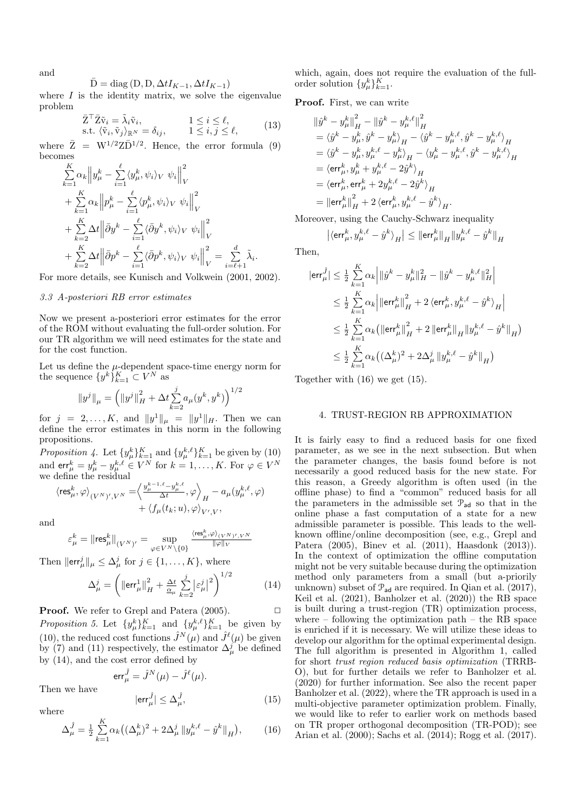and

$$
\bar{\mathbf{D}} = \text{diag}(\mathbf{D}, \mathbf{D}, \Delta t I_{K-1}, \Delta t I_{K-1})
$$

where  $I$  is the identity matrix, we solve the eigenvalue problem

$$
\bar{Z}^{\top} \bar{Z} \tilde{v}_i = \tilde{\lambda}_i \tilde{v}_i, \qquad 1 \le i \le \ell, \text{s.t. } \langle \tilde{v}_i, \tilde{v}_j \rangle_{\mathbb{R}^N} = \delta_{ij}, \qquad 1 \le i, j \le \ell,
$$
\n(13)

where  $\bar{Z} = W^{1/2}Z\bar{D}^{1/2}$ . Hence, the error formula (9) becomes

$$
\sum_{k=1}^{K} \alpha_k \left\| y_{\mu}^k - \sum_{i=1}^{\ell} \langle y_{\mu}^k, \psi_i \rangle_V \psi_i \right\|_V^2
$$
\n
$$
+ \sum_{k=1}^{K} \alpha_k \left\| p_{\mu}^k - \sum_{i=1}^{\ell} \langle p_{\mu}^k, \psi_i \rangle_V \psi_i \right\|_V^2
$$
\n
$$
+ \sum_{k=2}^{K} \Delta t \left\| \bar{\partial} y^k - \sum_{i=1}^{\ell} \langle \bar{\partial} y^k, \psi_i \rangle_V \psi_i \right\|_V^2
$$
\n
$$
+ \sum_{k=2}^{K} \Delta t \left\| \bar{\partial} p^k - \sum_{i=1}^{\ell} \langle \bar{\partial} p^k, \psi_i \rangle_V \psi_i \right\|_V^2 = \sum_{i=\ell+1}^{d} \tilde{\lambda}_i.
$$

For more details, see Kunisch and Volkwein (2001, 2002).

## 3.3 A-posteriori RB error estimates

Now we present a-posteriori error estimates for the error of the ROM without evaluating the full-order solution. For our TR algorithm we will need estimates for the state and for the cost function.

Let us define the  $\mu$ -dependent space-time energy norm for the sequence  $\{y^k\}_{k=1}^K \subset V^N$  as

$$
||y^{j}||_{\mu} = \left( ||y^{j}||_{H}^{2} + \Delta t \sum_{k=2}^{j} a_{\mu}(y^{k}, y^{k}) \right)^{1/2}
$$

for  $j = 2, ..., K$ , and  $||y^1||_{\mu} = ||y^1||_{H}$ . Then we can define the error estimates in this norm in the following propositions.

Proposition 4. Let  $\{y^k_\mu\}_{k=1}^K$  and  $\{y^{k,\ell}_\mu\}_{k=1}^K$  be given by (10) and  $\textsf{err}^k_\mu = y^k_\mu - y^{k,\ell}_\mu \in V^N$  for  $k = 1, \ldots, K$ . For  $\varphi \in V^N$ we define the residual

$$
\langle \text{res}_{\mu}^{k}, \varphi \rangle_{(V^{N})', V^{N}} = \Big\langle \frac{y_{\mu}^{k-1, \ell} - y_{\mu}^{k, \ell}}{\Delta t}, \varphi \Big\rangle_{H} - a_{\mu}(y_{\mu}^{k, \ell}, \varphi) + \langle f_{\mu}(t_{k}; u), \varphi \rangle_{V', V},
$$

and

$$
\varepsilon^k_\mu=\|{\rm res}^k_\mu\|_{(V^N)'}=\sup_{\varphi\in V^N\backslash\{0\}}\tfrac{\langle {\rm res}^k_\mu,\varphi\rangle_{(V^N)',V^N}}{\|\varphi\|_V}
$$

Then  $\|\text{err}^j_{\mu}\|_{\mu} \leq \Delta^j_{\mu}$  for  $j \in \{1, ..., K\}$ , where

$$
\Delta^j_\mu = \left( \left\| \text{err}^1_\mu \right\|^2_H + \frac{\Delta t}{\frac{\alpha}{\mu}} \sum_{k=2}^j \left| \varepsilon^j_\mu \right|^2 \right)^{1/2} \tag{14}
$$

**Proof.** We refer to Grepl and Patera  $(2005)$ .  $\Box$ 

Proposition 5. Let  $\{y^k_\mu\}_{k=1}^K$  and  $\{y^{k,\ell}_\mu\}_{k=1}^K$  be given by (10), the reduced cost functions  $\hat{J}^N(\mu)$  and  $\hat{J}^{\ell}(\mu)$  be given by (7) and (11) respectively, the estimator  $\Delta_{\mu}^{j}$  be defined by (14), and the cost error defined by

$$
\text{err}_{\mu}^{\hat{J}} = \hat{J}^N(\mu) - \hat{J}^{\ell}(\mu).
$$

$$
|\text{err}_{\mu}^{\hat{J}}| \le \Delta_{\mu}^{\hat{J}},\tag{15}
$$

where

Then we have

$$
\Delta_{\mu}^{\hat{J}} = \frac{1}{2} \sum_{k=1}^{K} \alpha_k \left( (\Delta_{\mu}^k)^2 + 2\Delta_{\mu}^j \left\| y_{\mu}^{k,\ell} - \hat{y}^k \right\|_H \right), \tag{16}
$$

which, again, does not require the evaluation of the fullorder solution  $\{y_{\mu}^k\}_{k=1}^K$ .

Proof. First, we can write

$$
\begin{split} & \left\| \hat{y}^k - y^k_\mu \right\|_H^2 - \left\| \hat{y}^k - y^{k,\ell}_\mu \right\|_H^2 \\ & = \left\langle \hat{y}^k - y^k_\mu, \hat{y}^k - y^k_\mu \right\rangle_H - \left\langle \hat{y}^k - y^{k,\ell}_\mu, \hat{y}^k - y^{k,\ell}_\mu \right\rangle_H \\ & = \left\langle \hat{y}^k - y^k_\mu, y^{k,\ell}_\mu - y^k_\mu \right\rangle_H - \left\langle y^k_\mu - y^{k,\ell}_\mu, \hat{y}^k - y^{k,\ell}_\mu \right\rangle_H \\ & = \left\langle \textsf{err}^k_\mu, y^{k}_\mu + y^{k,\ell}_\mu - 2 \hat{y}^k \right\rangle_H \\ & = \left\langle \textsf{err}^k_\mu, \textsf{err}^k_\mu + 2 y^{k,\ell}_\mu - 2 \hat{y}^k \right\rangle_H \\ & = \left\| \textsf{err}^k_\mu \right\|_H^2 + 2 \left\langle \textsf{err}^k_\mu, y^{k,\ell}_\mu - \hat{y}^k \right\rangle_H. \end{split}
$$

Moreover, using the Cauchy-Schwarz inequality

$$
\left|\left\langle \textsf{err}^k_\mu, y^{k,\ell}_\mu - \hat{y}^k \right\rangle_H \right| \leq \left\|\textsf{err}^k_\mu \right\|_H \left\|y^{k,\ell}_\mu - \hat{y}^k \right\|_H
$$

Then,

$$
\begin{aligned} |\textsf{err}_{\mu}^{\hat{J}}| &\leq \tfrac{1}{2}\sum_{k=1}^{K}\alpha_{k}\Big|\|\hat{y}^{k}-y_{\mu}^{k}\|_{H}^{2}-\|\hat{y}^{k}-y_{\mu}^{k,\ell}\|_{H}^{2}\Big|\\ &\leq \tfrac{1}{2}\sum_{k=1}^{K}\alpha_{k}\Big|\|\textsf{err}_{\mu}^{k}\|_{H}^{2}+2\left\langle\textsf{err}_{\mu}^{k},y_{\mu}^{k,\ell}-\hat{y}^{k}\right\rangle_{H}\Big|\\ &\leq \tfrac{1}{2}\sum_{k=1}^{K}\alpha_{k}\big(\|\textsf{err}_{\mu}^{k}\|_{H}^{2}+2\left\|\textsf{err}_{\mu}^{k}\right\|_{H}\|y_{\mu}^{k,\ell}-\hat{y}^{k}\|_{H}\big)\\ &\leq \tfrac{1}{2}\sum_{k=1}^{K}\alpha_{k}\big((\Delta_{\mu}^{k})^{2}+2\Delta_{\mu}^{j}\left\|y_{\mu}^{k,\ell}-\hat{y}^{k}\right\|_{H}\big) \end{aligned}
$$

Together with (16) we get (15).

# 4. TRUST-REGION RB APPROXIMATION

It is fairly easy to find a reduced basis for one fixed parameter, as we see in the next subsection. But when the parameter changes, the basis found before is not necessarily a good reduced basis for the new state. For this reason, a Greedy algorithm is often used (in the offline phase) to find a "common" reduced basis for all the parameters in the admissible set  $P_{ad}$  so that in the online phase a fast computation of a state for a new admissible parameter is possible. This leads to the wellknown offline/online decomposition (see, e.g., Grepl and Patera (2005), Binev et al. (2011), Haasdonk (2013)). In the context of optimization the offline computation might not be very suitable because during the optimization method only parameters from a small (but a-priorily unknown) subset of  $\mathcal{P}_{ad}$  are required. In Qian et al. (2017), Keil et al. (2021), Banholzer et al. (2020)) the RB space is built during a trust-region (TR) optimization process, where – following the optimization path – the RB space is enriched if it is necessary. We will utilize these ideas to develop our algorithm for the optimal experimental design. The full algorithm is presented in Algorithm 1, called for short trust region reduced basis optimization (TRRB-O), but for further details we refer to Banholzer et al. (2020) for further information. See also the recent paper Banholzer et al. (2022), where the TR approach is used in a multi-objective parameter optimization problem. Finally, we would like to refer to earlier work on methods based on TR proper orthogonal decomposition (TR-POD); see Arian et al. (2000); Sachs et al. (2014); Rogg et al. (2017).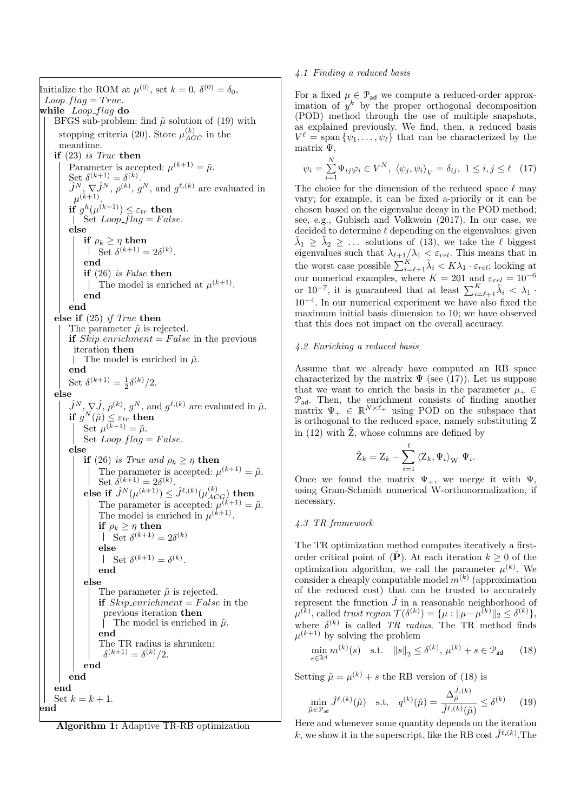Initialize the ROM at  $\mu^{(0)}$ , set  $k = 0$ ,  $\delta^{(0)} = \delta_0$ ,  $Loop_{-flag} = True.$ while  $Loop_{flag}$  do BFGS sub-problem: find  $\tilde{\mu}$  solution of (19) with stopping criteria (20). Store  $\mu_{AGC}^{(k)}$  in the meantime. if (23) is True then Parameter is accepted:  $\mu^{(k+1)} = \tilde{\mu}$ . Set  $\delta^{(k+1)} = \delta^{(k)}$ .  $\hat{J}^N$ ,  $\nabla \hat{J}^N$ ,  $\rho^{(k)}$ ,  $g^N$ , and  $g^{\ell,(k)}$  are evaluated in  $\mu^{(k+1)}$ . if  $g^h(\mu^{(k+1)}) \leq \varepsilon_{tr}$  then  $\int$  Set  $Loop\_flag = False.$ else if  $\rho_k > \eta$  then Set  $\delta^{(k+1)} = 2\delta^{(k)}$ . end if (26) is False then The model is enriched at  $\mu^{(k+1)}$ . end end else if (25) if True then The parameter  $\tilde{\mu}$  is rejected. if  $Skip\_enrichment = False$  in the previous iteration then | The model is enriched in  $\tilde{\mu}$ . end Set  $\delta^{(k+1)} = \frac{1}{2} \delta^{(k)}/2$ . else  $\hat{J}^N$ ,  $\nabla \hat{J}$ ,  $\rho^{(k)}$ ,  $g^N$ , and  $g^{\ell,(k)}$  are evaluated in  $\tilde{\mu}$ .  $\textbf{if} \,\, g^N(\tilde{\mu}) \leq \varepsilon_{tr} \,\, \textbf{then}$ Set  $\mu^{(k+1)} = \tilde{\mu}.$ Set  $Loop_{flag} = False.$ else if (26) is True and  $\rho_k \geq \eta$  then The parameter is accepted:  $\mu^{(k+1)} = \tilde{\mu}$ . Set  $\delta^{(k+1)} = 2\delta^{(k)}$ . else if  $\hat{J}^N(\mu^{(k+1)}) \leq \hat{J}^{\ell, (k)}(\mu^{(k)}_{ACG})$  then The parameter is accepted:  $\mu^{(k+1)} = \tilde{\mu}$ . The model is enriched in  $\mu^{(k+1)}$ . if  $\rho_k \geq \eta$  then Set  $\delta^{(k+1)} = 2\delta^{(k)}$ else Set  $\delta^{(k+1)} = \delta^{(k)}$ . end else The parameter  $\tilde{\mu}$  is rejected. if  $Skip\_enrichment = False$  in the previous iteration then The model is enriched in  $\tilde{\mu}$ . end The TR radius is shrunken:  $\delta^{(k+1)} = \delta^{(k)}/2.$ end end end Set  $k = k + 1$ . end

Algorithm 1: Adaptive TR-RB optimization

## 4.1 Finding a reduced basis

For a fixed  $\mu \in \mathcal{P}_{ad}$  we compute a reduced-order approximation of  $y^k$  by the proper orthogonal decomposition (POD) method through the use of multiple snapshots, as explained previously. We find, then, a reduced basis  $V^{\ell} = \text{span} \{ \psi_1, \ldots, \psi_{\ell} \}$  that can be characterized by the matrix Ψ,

$$
\psi_i = \sum_{i=1}^{N} \Psi_{ij} \varphi_i \in V^N, \ \langle \psi_j, \psi_i \rangle_V = \delta_{ij}, \ 1 \le i, j \le \ell \quad (17)
$$

The choice for the dimension of the reduced space  $\ell$  may vary; for example, it can be fixed a-priorily or it can be chosen based on the eigenvalue decay in the POD method; see, e.g., Gubisch and Volkwein (2017). In our case, we decided to determine  $\ell$  depending on the eigenvalues: given  $\tilde{\lambda}_1 \geq \tilde{\lambda}_2 \geq \ldots$  solutions of (13), we take the  $\ell$  biggest eigenvalues such that  $\lambda_{\ell+1}/\lambda_1 < \varepsilon_{rel}$ . This means that in the worst case possible  $\sum_{i=\ell+1}^{K} \tilde{\lambda}_i < K \lambda_1 \cdot \varepsilon_{rel}$ ; looking at our numerical examples, where  $K = 201$  and  $\varepsilon_{rel} = 10^{-6}$ or 10<sup>-7</sup>, it is guaranteed that at least  $\sum_{i=\ell+1}^{K} \tilde{\lambda}_i < \lambda_1$ . 10−<sup>4</sup> . In our numerical experiment we have also fixed the maximum initial basis dimension to 10; we have observed that this does not impact on the overall accuracy.

## 4.2 Enriching a reduced basis

Assume that we already have computed an RB space characterized by the matrix  $\Psi$  (see (17)). Let us suppose that we want to enrich the basis in the parameter  $\mu_+ \in$  $P_{ad}$ . Then, the enrichment consists of finding another matrix  $\Psi_+ \in \mathbb{R}^{N \times \ell_+}$  using POD on the subspace that is orthogonal to the reduced space, namely substituting Z in (12) with  $\tilde{Z}$ , whose columns are defined by

$$
\tilde{\mathbf{Z}}_k = \mathbf{Z}_k - \sum_{i=1}^{\ell} \left\langle \mathbf{Z}_k, \Psi_i \right\rangle_{\mathbf{W}} \Psi_i.
$$

Once we found the matrix  $\Psi_{+}$ , we merge it with  $\Psi$ , using Gram-Schmidt numerical W-orthonormalization, if necessary.

## 4.3 TR framework

The TR optimization method computes iteratively a firstorder critical point of  $(\hat{\mathbf{P}})$ . At each iteration  $k \geq 0$  of the optimization algorithm, we call the parameter  $\mu^{(k)}$ . We consider a cheaply computable model  $m^{(k)}$  (approximation of the reduced cost) that can be trusted to accurately represent the function  $\hat{J}$  in a reasonable neighborhood of  $\mu^{(k)}$ , called trust region  $\mathcal{T}(\delta^{(k)}) = {\mu : ||\mu - \mu^{(k)}||_2 \le \delta^{(k)}}$ , where  $\delta^{(k)}$  is called TR radius. The TR method finds  $\mu^{(k+1)}$  by solving the problem

$$
\min_{s \in \mathbb{R}^d} m^{(k)}(s) \quad \text{s.t.} \quad ||s||_2 \le \delta^{(k)}, \, \mu^{(k)} + s \in \mathcal{P}_{\text{ad}} \tag{18}
$$

Setting  $\tilde{\mu} = \mu^{(k)} + s$  the RB version of (18) is  $\hat{\mathbf{z}}$  ,  $\hat{\mathbf{z}}$ 

$$
\min_{\tilde{\mu}\in\mathcal{P}_{\text{ad}}} \hat{J}^{\ell,(k)}(\tilde{\mu}) \quad \text{s.t.} \quad q^{(k)}(\tilde{\mu}) = \frac{\Delta_{\tilde{\mu}}^{\jmath,(k)}}{\hat{J}^{\ell,(k)}(\tilde{\mu})} \leq \delta^{(k)} \tag{19}
$$

Here and whenever some quantity depends on the iteration k, we show it in the superscript, like the RB cost  $\hat{J}^{\ell,(k)}$ . The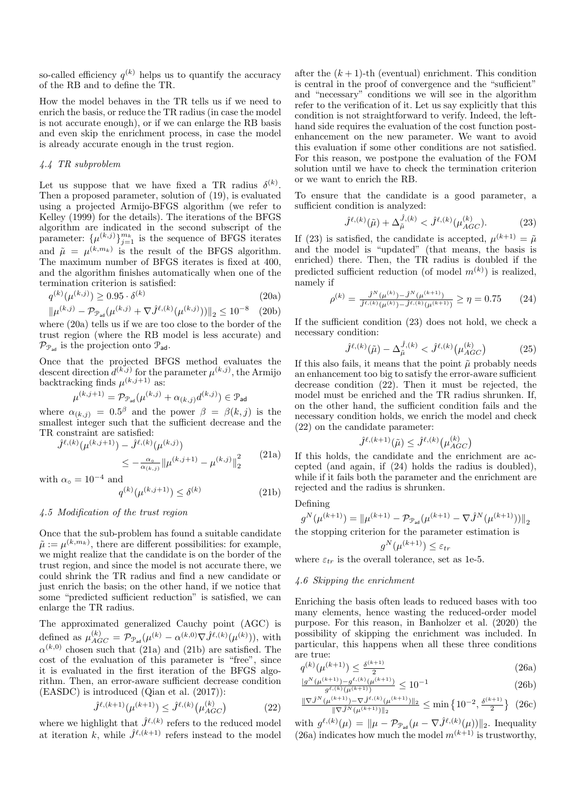so-called efficiency  $q^{(k)}$  helps us to quantify the accuracy of the RB and to define the TR.

How the model behaves in the TR tells us if we need to enrich the basis, or reduce the TR radius (in case the model is not accurate enough), or if we can enlarge the RB basis and even skip the enrichment process, in case the model is already accurate enough in the trust region.

## 4.4 TR subproblem

Let us suppose that we have fixed a TR radius  $\delta^{(k)}$ . Then a proposed parameter, solution of (19), is evaluated using a projected Armijo-BFGS algorithm (we refer to Kelley (1999) for the details). The iterations of the BFGS algorithm are indicated in the second subscript of the parameter:  $\{\mu^{(k,j)}\}_{j=1}^{m_k}$  is the sequence of BFGS iterates and  $\tilde{\mu} = \mu^{(k,m_k)}$  is the result of the BFGS algorithm. The maximum number of BFGS iterates is fixed at 400, and the algorithm finishes automatically when one of the termination criterion is satisfied:

$$
q^{(k)}(\mu^{(k,j)}) \ge 0.95 \cdot \delta^{(k)} \tag{20a}
$$

$$
\|\mu^{(k,j)} - \mathcal{P}_{\mathcal{P}_{\text{ad}}}(\mu^{(k,j)} + \nabla \hat{J}^{\ell,(k)}(\mu^{(k,j)}))\|_2 \le 10^{-8} \quad (20b)
$$

where (20a) tells us if we are too close to the border of the trust region (where the RB model is less accurate) and  $\mathcal{P}_{\mathcal{P}_{ad}}$  is the projection onto  $\mathcal{P}_{ad}$ .

Once that the projected BFGS method evaluates the descent direction  $d^{(k,j)}$  for the parameter  $\mu^{(k,j)}$ , the Armijo backtracking finds  $\mu^{(k,j+1)}$  as:

$$
\mu^{(k,j+1)} = \mathcal{P}_{\mathcal{P}_{\text{ad}}}(\mu^{(k,j)} + \alpha_{(k,j)}d^{(k,j)}) \in \mathcal{P}_{\text{ad}}
$$

where  $\alpha_{(k,j)} = 0.5^{\beta}$  and the power  $\beta = \beta(k,j)$  is the smallest integer such that the sufficient decrease and the TR constraint are satisfied:

$$
\hat{J}^{\ell,(k)}(\mu^{(k,j+1)}) - \hat{J}^{\ell,(k)}(\mu^{(k,j)})
$$
\n
$$
\leq -\frac{\alpha_0}{\alpha_{(k,j)}} \|\mu^{(k,j+1)} - \mu^{(k,j)}\|_2^2
$$
\n(21a)

with  $\alpha_{\circ} = 10^{-4}$  and

$$
q^{(k)}(\mu^{(k,j+1)}) \le \delta^{(k)} \tag{21b}
$$

## 4.5 Modification of the trust region

Once that the sub-problem has found a suitable candidate  $\tilde{\mu} := \mu^{(k,m_k)}$ , there are different possibilities: for example, we might realize that the candidate is on the border of the trust region, and since the model is not accurate there, we could shrink the TR radius and find a new candidate or just enrich the basis; on the other hand, if we notice that some "predicted sufficient reduction" is satisfied, we can enlarge the TR radius.

The approximated generalized Cauchy point (AGC) is defined as  $\mu_{AGC}^{(k)} = \mathcal{P}_{\mathcal{P}_{ad}}(\mu^{(k)} - \alpha^{(k,0)} \nabla \hat{J}^{\ell,(k)}(\mu^{(k)}))$ , with  $\alpha^{(k,0)}$  chosen such that (21a) and (21b) are satisfied. The cost of the evaluation of this parameter is "free", since it is evaluated in the first iteration of the BFGS algorithm. Then, an error-aware sufficient decrease condition (EASDC) is introduced (Qian et al. (2017)):

$$
\hat{J}^{\ell,(k+1)}(\mu^{(k+1)}) \le \hat{J}^{\ell,(k)}(\mu_{AGC}^{(k)})
$$
 (22)

where we highlight that  $\hat{J}^{\ell,(k)}$  refers to the reduced model at iteration k, while  $\hat{J}^{\ell,(k+1)}$  refers instead to the model after the  $(k + 1)$ -th (eventual) enrichment. This condition is central in the proof of convergence and the "sufficient" and "necessary" conditions we will see in the algorithm refer to the verification of it. Let us say explicitly that this condition is not straightforward to verify. Indeed, the lefthand side requires the evaluation of the cost function postenhancement on the new parameter. We want to avoid this evaluation if some other conditions are not satisfied. For this reason, we postpone the evaluation of the FOM solution until we have to check the termination criterion or we want to enrich the RB.

To ensure that the candidate is a good parameter, a sufficient condition is analyzed:

$$
\hat{J}^{\ell,(k)}(\tilde{\mu}) + \Delta_{\tilde{\mu}}^{\hat{J},(k)} < \hat{J}^{\ell,(k)}(\mu_{AGC}^{(k)}). \tag{23}
$$

If (23) is satisfied, the candidate is accepted,  $\mu^{(k+1)} = \tilde{\mu}$ and the model is "updated" (that means, the basis is enriched) there. Then, the TR radius is doubled if the predicted sufficient reduction (of model  $m^{(k)}$ ) is realized, namely if

$$
\rho^{(k)} = \frac{\hat{J}^N(\mu^{(k)}) - \hat{J}^N(\mu^{(k+1)})}{\hat{J}^{\ell,(k)}(\mu^{(k)}) - \hat{J}^{\ell,(k)}(\mu^{(k+1)})} \ge \eta = 0.75 \tag{24}
$$

If the sufficient condition (23) does not hold, we check a necessary condition:

$$
\hat{J}^{\ell,(k)}(\tilde{\mu}) - \Delta_{\tilde{\mu}}^{\hat{J},(k)} < \hat{J}^{\ell,(k)}(\mu_{AGC}^{(k)}) \tag{25}
$$

If this also fails, it means that the point  $\tilde{\mu}$  probably needs an enhancement too big to satisfy the error-aware sufficient decrease condition (22). Then it must be rejected, the model must be enriched and the TR radius shrunken. If, on the other hand, the sufficient condition fails and the necessary condition holds, we enrich the model and check (22) on the candidate parameter:

$$
\hat{J}^{\ell,(k+1)}(\tilde{\mu}) \leq \hat{J}^{\ell,(k)}\big(\mu_{AGC}^{(k)}\big)
$$

If this holds, the candidate and the enrichment are accepted (and again, if (24) holds the radius is doubled), while if it fails both the parameter and the enrichment are rejected and the radius is shrunken.

#### Defining

$$
g^N(\mu^{(k+1)}) = {\Vert \mu^{(k+1)} - {\mathcal P}_{{\mathcal P}_{\text{ad}}}(\mu^{(k+1)} - \nabla \hat{J}^N(\mu^{(k+1)})) \Vert}_2
$$

the stopping criterion for the parameter estimation is

$$
g^N(\mu^{(k+1)}) \le \varepsilon_{tr}
$$

where  $\varepsilon_{tr}$  is the overall tolerance, set as 1e-5.

#### 4.6 Skipping the enrichment

Enriching the basis often leads to reduced bases with too many elements, hence wasting the reduced-order model purpose. For this reason, in Banholzer et al. (2020) the possibility of skipping the enrichment was included. In particular, this happens when all these three conditions are true:

$$
q^{(k)}(\mu^{(k+1)}) \le \frac{\delta^{(k+1)}}{2} \tag{26a}
$$

$$
\frac{|g^N(\mu^{(k+1)}) - g^{\ell,(k)}(\mu^{(k+1)})|}{g^{\ell,(k)}(\mu^{(k+1)})} \le 10^{-1}
$$
\n(26b)

$$
\frac{\|\nabla \hat{J}^{N}(\mu^{(k+1)}) - \nabla \hat{J}^{\ell,(k)}(\mu^{(k+1)})\|_{2}}{\|\nabla \hat{J}^{N}(\mu^{(k+1)})\|_{2}} \le \min\left\{10^{-2}, \frac{\delta^{(k+1)}}{2}\right\} (26c)
$$

with  $g^{\ell,(k)}(\mu) = \|\mu - \mathcal{P}_{\mathcal{P}_{ad}}(\mu - \nabla \hat{J}^{\ell,(k)}(\mu))\|_2$ . Inequality (26a) indicates how much the model  $m^{(k+1)}$  is trustworthy,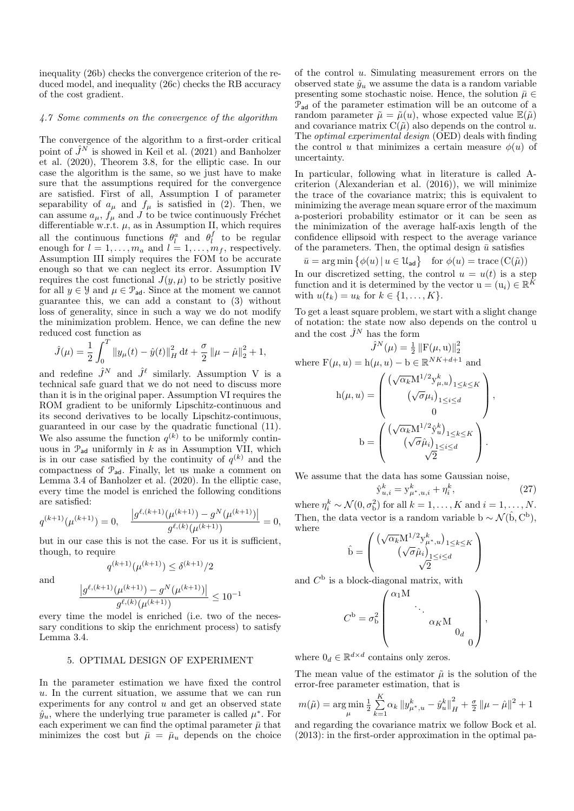inequality (26b) checks the convergence criterion of the reduced model, and inequality (26c) checks the RB accuracy of the cost gradient.

#### 4.7 Some comments on the convergence of the algorithm

The convergence of the algorithm to a first-order critical point of  $\hat{J}^N$  is showed in Keil et al. (2021) and Banholzer et al. (2020), Theorem 3.8, for the elliptic case. In our case the algorithm is the same, so we just have to make sure that the assumptions required for the convergence are satisfied. First of all, Assumption I of parameter separability of  $a_{\mu}$  and  $f_{\mu}$  is satisfied in (2). Then, we can assume  $a_{\mu}$ ,  $f_{\mu}$  and  $\tilde{J}$  to be twice continuously Fréchet differentiable w.r.t.  $\mu$ , as in Assumption II, which requires all the continuous functions  $\theta_l^a$  and  $\theta_l^f$  to be regular enough for  $l = 1, \ldots, m_a$  and  $l = 1, \ldots, m_f$ , respectively. Assumption III simply requires the FOM to be accurate enough so that we can neglect its error. Assumption IV requires the cost functional  $J(y, \mu)$  to be strictly positive for all  $y \in \mathcal{Y}$  and  $\mu \in \mathcal{P}_{ad}$ . Since at the moment we cannot guarantee this, we can add a constant to (3) without loss of generality, since in such a way we do not modify the minimization problem. Hence, we can define the new reduced cost function as

$$
\hat{J}(\mu) = \frac{1}{2} \int_0^T \|y_\mu(t) - \hat{y}(t)\|_H^2 dt + \frac{\sigma}{2} \|\mu - \hat{\mu}\|_2^2 + 1,
$$

and redefine  $\hat{J}^N$  and  $\hat{J}^{\ell}$  similarly. Assumption V is a technical safe guard that we do not need to discuss more than it is in the original paper. Assumption VI requires the ROM gradient to be uniformly Lipschitz-continuous and its second derivatives to be locally Lipschitz-continuous, guaranteed in our case by the quadratic functional (11). We also assume the function  $q^{(k)}$  to be uniformly continuous in  $\mathcal{P}_{ad}$  uniformly in k as in Assumption VII, which is in our case satisfied by the continuity of  $q^{(k)}$  and the compactness of Pad. Finally, let us make a comment on Lemma 3.4 of Banholzer et al. (2020). In the elliptic case, every time the model is enriched the following conditions are satisfied:

$$
q^{(k+1)}(\mu^{(k+1)}) = 0, \quad \frac{|g^{\ell,(k+1)}(\mu^{(k+1)}) - g^N(\mu^{(k+1)})|}{g^{\ell,(k)}(\mu^{(k+1)})} = 0,
$$

but in our case this is not the case. For us it is sufficient, though, to require  $q^{(k+1)}(\mu^{(k+1)}) \leq \delta^{(k+1)}/2$ 

and

$$
\frac{|g^{\ell,(k+1)}(\mu^{(k+1)}) - g^N(\mu^{(k+1)})|}{g^{\ell,(k)}(\mu^{(k+1)})} \le 10^{-1}
$$

every time the model is enriched (i.e. two of the necessary conditions to skip the enrichment process) to satisfy Lemma 3.4.

# 5. OPTIMAL DESIGN OF EXPERIMENT

In the parameter estimation we have fixed the control u. In the current situation, we assume that we can run experiments for any control  $u$  and get an observed state  $\hat{y}_u$ , where the underlying true parameter is called  $\mu^*$ . For each experiment we can find the optimal parameter  $\bar{\mu}$  that minimizes the cost but  $\bar{\mu} = \bar{\mu}_u$  depends on the choice of the control u. Simulating measurement errors on the observed state  $\hat{y}_u$  we assume the data is a random variable presenting some stochastic noise. Hence, the solution  $\bar{\mu} \in$  $P_{ad}$  of the parameter estimation will be an outcome of a random parameter  $\tilde{\mu} = \tilde{\mu}(u)$ , whose expected value  $\mathbb{E}(\tilde{\mu})$ and covariance matrix  $C(\tilde{\mu})$  also depends on the control u. The optimal experimental design (OED) deals with finding the control u that minimizes a certain measure  $\phi(u)$  of uncertainty.

In particular, following what in literature is called Acriterion (Alexanderian et al. (2016)), we will minimize the trace of the covariance matrix; this is equivalent to minimizing the average mean square error of the maximum a-posteriori probability estimator or it can be seen as the minimization of the average half-axis length of the confidence ellipsoid with respect to the average variance of the parameters. Then, the optimal design  $\bar{u}$  satisfies

$$
\bar{u} = \arg\min \big\{ \phi(u) \, | \, u \in \mathcal{U}_{\text{ad}} \big\} \quad \text{for } \phi(u) = \text{trace} \left( \mathcal{C}(\tilde{\mu}) \right)
$$

In our discretized setting, the control  $u = u(t)$  is a step function and it is determined by the vector  $u = (u_i) \in \mathbb{R}^{\tilde{K}}$ with  $u(t_k) = u_k$  for  $k \in \{1, ..., K\}$ .

To get a least square problem, we start with a slight change of notation: the state now also depends on the control u and the cost  $\hat{J}^N$  has the form

$$
\hat{J}^{N}(\mu) = \frac{1}{2} ||\mathbf{F}(\mu, \mathbf{u})||_{2}^{2}
$$
  
where  $\mathbf{F}(\mu, u) = \mathbf{h}(\mu, u) - \mathbf{b} \in \mathbb{R}^{NK + d + 1}$  and  

$$
\mathbf{h}(\mu, u) = \begin{pmatrix} (\sqrt{\alpha_{k}} \mathbf{M}^{1/2} \mathbf{y}_{\mu, u}^{k})_{1 \leq k \leq K} \\ (\sqrt{\sigma} \mu_{i})_{1 \leq i \leq d} \\ 0 \end{pmatrix},
$$

$$
\mathbf{b} = \begin{pmatrix} (\sqrt{\alpha_{k}} \mathbf{M}^{1/2} \hat{\mathbf{y}}_{u}^{k})_{1 \leq k \leq K} \\ (\sqrt{\sigma} \hat{\mu}_{i})_{1 \leq i \leq d} \\ \sqrt{2} \end{pmatrix}.
$$

We assume that the data has some Gaussian noise,

$$
\hat{\mathbf{y}}_{u,i}^k = \mathbf{y}_{\mu^*,u,i}^k + \eta_i^k,\tag{27}
$$

where  $\eta_i^k \sim \mathcal{N}(0, \sigma_{\rm b}^2)$  for all  $k = 1, \ldots, K$  and  $i = 1, \ldots, N$ . Then, the data vector is a random variable b ~  $\mathcal{N}(\hat{b}, C^b)$ , where

$$
\hat{\mathbf{b}} = \begin{pmatrix} \left(\sqrt{\alpha_k} \mathbf{M}^{1/2} \mathbf{y}_{\mu^*,u}^k\right)_{1 \le k \le K} \\ \left(\sqrt{\sigma} \hat{\mu}_i\right)_{1 \le i \le d} \\ \sqrt{2} \end{pmatrix}
$$

and  $C^{\rm b}$  is a block-diagonal matrix, with

$$
C^{\rm b} = \sigma_{\rm b}^2 \left(\begin{array}{cccc} \alpha_1\rm M & & & \\ & \ddots & & \\ & & \alpha_K\rm M & \\ & & & 0_d \\ & & & & 0 \end{array}\right),
$$

where  $0_d \in \mathbb{R}^{d \times d}$  contains only zeros.

The mean value of the estimator  $\tilde{\mu}$  is the solution of the error-free parameter estimation, that is

$$
m(\tilde{\mu}) = \underset{\mu}{\arg\min} \frac{1}{2} \sum_{k=1}^{K} \alpha_k \left\| y_{\mu^*,u}^k - \hat{y}_u^k \right\|_{H}^2 + \frac{\sigma}{2} \left\| \mu - \hat{\mu} \right\|^2 + 1
$$

and regarding the covariance matrix we follow Bock et al. (2013): in the first-order approximation in the optimal pa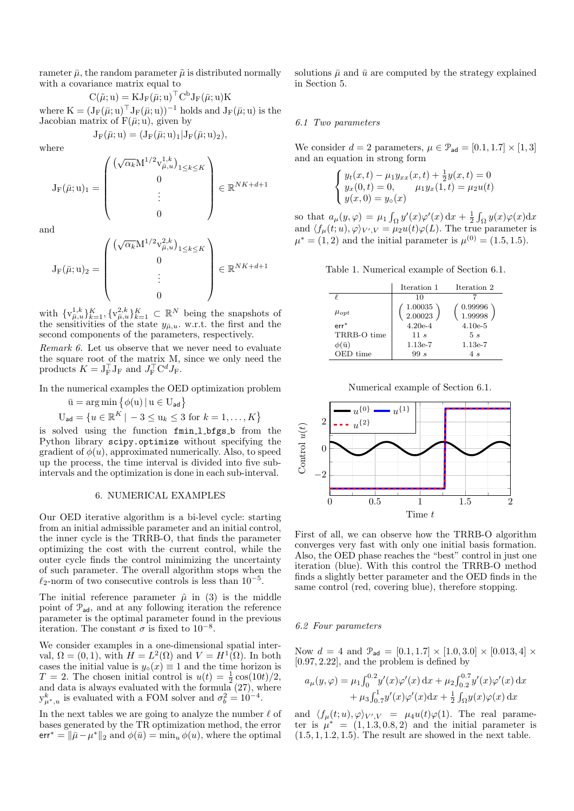rameter  $\bar{\mu}$ , the random parameter  $\tilde{\mu}$  is distributed normally with a covariance matrix equal to

 $C(\tilde{\mu}; u) = KJ_F(\bar{\mu}; u)^\top C^b J_F(\bar{\mu}; u) K$ where  $K = (J_F(\bar{\mu}; u)^{\top} J_F(\bar{\mu}; u))^{-1}$  holds and  $J_F(\bar{\mu}; u)$  is the Jacobian matrix of  $F(\bar{\mu}; u)$ , given by

$$
J_F(\bar\mu;u)=(J_F(\bar\mu;u)_1|J_F(\bar\mu;u)_2),
$$

where

$$
\mathbf{J}_{\mathrm{F}}(\bar{\mu};\mathbf{u})_1 = \begin{pmatrix} \left(\sqrt{\alpha_k} \mathbf{M}^{1/2} \mathbf{v}_{\bar{\mu},u}^{1,k}\right)_{1 \leq k \leq K} \\ 0 \\ \vdots \\ 0 \end{pmatrix} \in \mathbb{R}^{NK + d + 1}
$$

and

$$
J_F(\bar{\mu}; u)_2 = \begin{pmatrix} \left(\sqrt{\alpha_k} M^{1/2} v_{\bar{\mu}, u}^{2, k}\right)_{1 \leq k \leq K} \\ 0 \\ \vdots \\ 0 \end{pmatrix} \in \mathbb{R}^{NK + d + 1}
$$

with  $\{v_{\bar{\mu},u}^{1,k}\}_{k=1}^K$ ,  $\{v_{\bar{\mu},u}^{2,k}\}_{k=1}^K$   $\subset \mathbb{R}^N$  being the snapshots of the sensitivities of the state  $y_{\bar{\mu},u}$ . w.r.t. the first and the second components of the parameters, respectively.

Remark 6. Let us observe that we never need to evaluate the square root of the matrix M, since we only need the products  $K = J_F^{\top} J_F$  and  $J_F^{\top} C^d J_F$ .

In the numerical examples the OED optimization problem

$$
\bar{u} = \arg\min \left\{ \phi(u) \mid u \in U_{ad} \right\}
$$
  

$$
U_{ad} = \left\{ u \in \mathbb{R}^K \mid -3 \le u_k \le 3 \text{ for } k = 1, ..., K \right\}
$$

is solved using the function fmin l bfgs b from the Python library scipy.optimize without specifying the gradient of  $\phi(u)$ , approximated numerically. Also, to speed up the process, the time interval is divided into five subintervals and the optimization is done in each sub-interval.

#### 6. NUMERICAL EXAMPLES

Our OED iterative algorithm is a bi-level cycle: starting from an initial admissible parameter and an initial control, the inner cycle is the TRRB-O, that finds the parameter optimizing the cost with the current control, while the outer cycle finds the control minimizing the uncertainty of such parameter. The overall algorithm stops when the  $\ell_2$ -norm of two consecutive controls is less than 10<sup>-5</sup>.

The initial reference parameter  $\hat{\mu}$  in (3) is the middle point of  $\mathcal{P}_{ad}$ , and at any following iteration the reference parameter is the optimal parameter found in the previous iteration. The constant  $\sigma$  is fixed to 10<sup>-8</sup>.

We consider examples in a one-dimensional spatial interval,  $\Omega = (0, 1)$ , with  $H = L^2(\Omega)$  and  $V = H^1(\Omega)$ . In both cases the initial value is  $y_0(x) \equiv 1$  and the time horizon is  $T = 2$ . The chosen initial control is  $u(t) = \frac{1}{2} \cos(10t)/2$ , and data is always evaluated with the formula (27), where  $y_{\mu^*,u}^k$  is evaluated with a FOM solver and  $\sigma_b^2 = 10^{-4}$ .

In the next tables we are going to analyze the number  $\ell$  of bases generated by the TR optimization method, the error err<sup>\*</sup> =  $\|\bar{\mu} - \mu^*\|_2$  and  $\phi(\bar{u}) = \min_u \phi(u)$ , where the optimal

solutions  $\bar{u}$  and  $\bar{u}$  are computed by the strategy explained in Section 5.

#### 6.1 Two parameters

We consider  $d = 2$  parameters,  $\mu \in \mathcal{P}_{ad} = [0.1, 1.7] \times [1, 3]$ and an equation in strong form

$$
\begin{cases}\ny_t(x,t) - \mu_1 y_{xx}(x,t) + \frac{1}{2}y(x,t) = 0 \\
y_x(0,t) = 0, \qquad \mu_1 y_x(1,t) = \mu_2 u(t) \\
y(x,0) = y_{\circ}(x)\n\end{cases}
$$

so that  $a_{\mu}(y,\varphi) = \mu_1 \int_{\Omega} y'(x)\varphi'(x) dx + \frac{1}{2} \int_{\Omega} y(x)\varphi(x) dx$ and  $\langle f_\mu(t; u), \varphi \rangle_{V', V} = \mu_2 u(t) \varphi(L)$ . The true parameter is  $\mu^* = (1, 2)$  and the initial parameter is  $\mu^{(0)} = (1.5, 1.5)$ .

Table 1. Numerical example of Section 6.1.

|                          | Iteration 1        | Iteration 2        |
|--------------------------|--------------------|--------------------|
|                          | 10                 |                    |
| $\mu_{opt}$              | 1.00035<br>2.00023 | 0.99996<br>1.99998 |
| $err^*$                  | $4.20e-4$          | $4.10e-5$          |
| TRRB-O time              | 11s                | 5s                 |
| $\phi(\mathbf{\bar{u}})$ | $1.13e-7$          | $1.13e-7$          |
| OED time                 | 99s                | 4 s                |

Numerical example of Section 6.1.



First of all, we can observe how the TRRB-O algorithm converges very fast with only one initial basis formation. Also, the OED phase reaches the "best" control in just one iteration (blue). With this control the TRRB-O method finds a slightly better parameter and the OED finds in the same control (red, covering blue), therefore stopping.

#### 6.2 Four parameters

Now  $d = 4$  and  $\mathcal{P}_{ad} = [0.1, 1.7] \times [1.0, 3.0] \times [0.013, 4] \times$ [0.97, 2.22], and the problem is defined by

$$
a_{\mu}(y,\varphi) = \mu_1 \int_0^{0.2} y'(x)\varphi'(x) dx + \mu_2 \int_{0.2}^{0.7} y'(x)\varphi'(x) dx + \mu_3 \int_{0.7}^1 y'(x)\varphi'(x) dx + \frac{1}{2} \int_{\Omega} y(x)\varphi(x) dx
$$

and  $\langle f_\mu(t;u),\varphi\rangle_{V',V} = \mu_4 u(t)\varphi(1)$ . The real parameter is  $\mu^* = (1, 1.3, 0.8, 2)$  and the initial parameter is  $(1.5, 1, 1.2, 1.5)$ . The result are showed in the next table.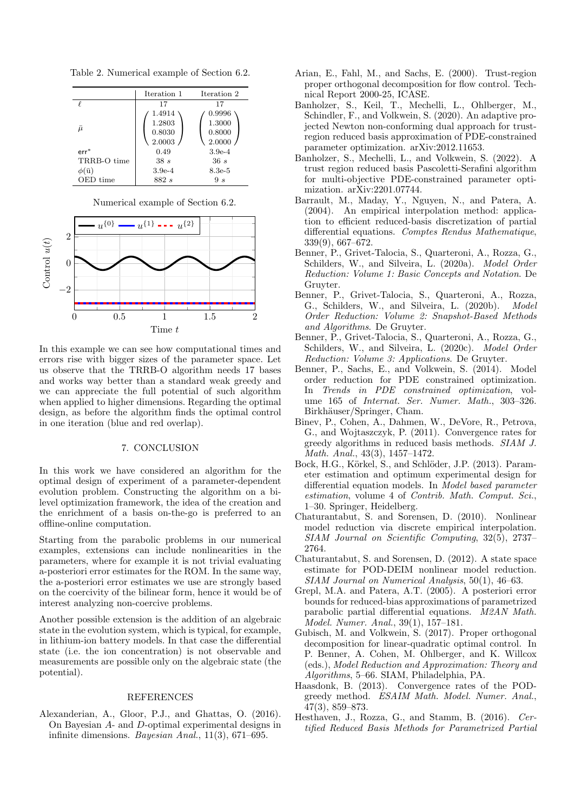Table 2. Numerical example of Section 6.2.

|                 | Iteration 1                          | Iteration 2                          |
|-----------------|--------------------------------------|--------------------------------------|
|                 | 17                                   | 17                                   |
| ū               | 1.4914<br>1.2803<br>0.8030<br>2.0003 | 0.9996<br>1.3000<br>0.8000<br>2.0000 |
| $err^*$         | 0.49                                 | $3.9e-4$                             |
| TRRB-O time     | 38s                                  | 36s                                  |
| $\phi(\bar{u})$ | $3.9e-4$                             | $8.3e-5$                             |
| OED time        | 882 s                                | 9 s                                  |

Numerical example of Section 6.2.



In this example we can see how computational times and errors rise with bigger sizes of the parameter space. Let us observe that the TRRB-O algorithm needs 17 bases and works way better than a standard weak greedy and we can appreciate the full potential of such algorithm when applied to higher dimensions. Regarding the optimal design, as before the algorithm finds the optimal control in one iteration (blue and red overlap).

## 7. CONCLUSION

In this work we have considered an algorithm for the optimal design of experiment of a parameter-dependent evolution problem. Constructing the algorithm on a bilevel optimization framework, the idea of the creation and the enrichment of a basis on-the-go is preferred to an offline-online computation.

Starting from the parabolic problems in our numerical examples, extensions can include nonlinearities in the parameters, where for example it is not trivial evaluating a-posteriori error estimates for the ROM. In the same way, the a-posteriori error estimates we use are strongly based on the coercivity of the bilinear form, hence it would be of interest analyzing non-coercive problems.

Another possible extension is the addition of an algebraic state in the evolution system, which is typical, for example, in lithium-ion battery models. In that case the differential state (i.e. the ion concentration) is not observable and measurements are possible only on the algebraic state (the potential).

#### REFERENCES

Alexanderian, A., Gloor, P.J., and Ghattas, O. (2016). On Bayesian A- and D-optimal experimental designs in infinite dimensions. Bayesian Anal., 11(3), 671–695.

- Arian, E., Fahl, M., and Sachs, E. (2000). Trust-region proper orthogonal decomposition for flow control. Technical Report 2000-25, ICASE.
- Banholzer, S., Keil, T., Mechelli, L., Ohlberger, M., Schindler, F., and Volkwein, S. (2020). An adaptive projected Newton non-conforming dual approach for trustregion reduced basis approximation of PDE-constrained parameter optimization. arXiv:2012.11653.
- Banholzer, S., Mechelli, L., and Volkwein, S. (2022). A trust region reduced basis Pascoletti-Serafini algorithm for multi-objective PDE-constrained parameter optimization. arXiv:2201.07744.
- Barrault, M., Maday, Y., Nguyen, N., and Patera, A. (2004). An empirical interpolation method: application to efficient reduced-basis discretization of partial differential equations. Comptes Rendus Mathematique, 339(9), 667–672.
- Benner, P., Grivet-Talocia, S., Quarteroni, A., Rozza, G., Schilders, W., and Silveira, L. (2020a). Model Order Reduction: Volume 1: Basic Concepts and Notation. De Gruyter.
- Benner, P., Grivet-Talocia, S., Quarteroni, A., Rozza, G., Schilders, W., and Silveira, L. (2020b). Model Order Reduction: Volume 2: Snapshot-Based Methods and Algorithms. De Gruyter.
- Benner, P., Grivet-Talocia, S., Quarteroni, A., Rozza, G., Schilders, W., and Silveira, L. (2020c). Model Order Reduction: Volume 3: Applications. De Gruyter.
- Benner, P., Sachs, E., and Volkwein, S. (2014). Model order reduction for PDE constrained optimization. In Trends in PDE constrained optimization, volume 165 of Internat. Ser. Numer. Math., 303–326. Birkhäuser/Springer, Cham.
- Binev, P., Cohen, A., Dahmen, W., DeVore, R., Petrova, G., and Wojtaszczyk, P. (2011). Convergence rates for greedy algorithms in reduced basis methods. SIAM J. Math. Anal., 43(3), 1457–1472.
- Bock, H.G., Körkel, S., and Schlöder, J.P. (2013). Parameter estimation and optimum experimental design for differential equation models. In Model based parameter estimation, volume 4 of Contrib. Math. Comput. Sci., 1–30. Springer, Heidelberg.
- Chaturantabut, S. and Sorensen, D. (2010). Nonlinear model reduction via discrete empirical interpolation. SIAM Journal on Scientific Computing, 32(5), 2737– 2764.
- Chaturantabut, S. and Sorensen, D. (2012). A state space estimate for POD-DEIM nonlinear model reduction. SIAM Journal on Numerical Analysis, 50(1), 46–63.
- Grepl, M.A. and Patera, A.T. (2005). A posteriori error bounds for reduced-bias approximations of parametrized parabolic partial differential equations. M2AN Math. Model. Numer. Anal., 39(1), 157–181.
- Gubisch, M. and Volkwein, S. (2017). Proper orthogonal decomposition for linear-quadratic optimal control. In P. Benner, A. Cohen, M. Ohlberger, and K. Willcox (eds.), Model Reduction and Approximation: Theory and Algorithms, 5–66. SIAM, Philadelphia, PA.
- Haasdonk, B. (2013). Convergence rates of the PODgreedy method. ESAIM Math. Model. Numer. Anal., 47(3), 859–873.
- Hesthaven, J., Rozza, G., and Stamm, B. (2016). Certified Reduced Basis Methods for Parametrized Partial